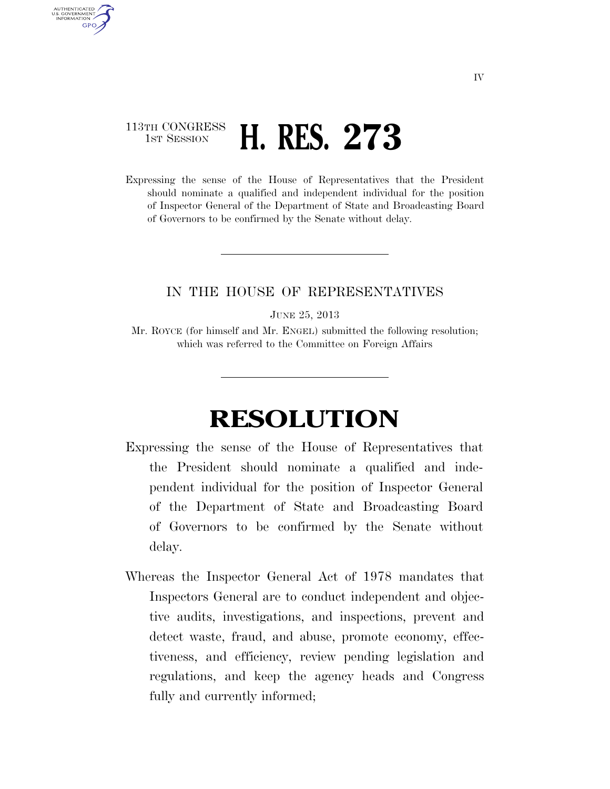## 113TH CONGRESS **1ST SESSION <b>H. RES. 273**

AUTHENTICATED U.S. GOVERNMENT **GPO** 

> Expressing the sense of the House of Representatives that the President should nominate a qualified and independent individual for the position of Inspector General of the Department of State and Broadcasting Board of Governors to be confirmed by the Senate without delay.

## IN THE HOUSE OF REPRESENTATIVES

JUNE 25, 2013

Mr. ROYCE (for himself and Mr. ENGEL) submitted the following resolution; which was referred to the Committee on Foreign Affairs

## **RESOLUTION**

- Expressing the sense of the House of Representatives that the President should nominate a qualified and independent individual for the position of Inspector General of the Department of State and Broadcasting Board of Governors to be confirmed by the Senate without delay.
- Whereas the Inspector General Act of 1978 mandates that Inspectors General are to conduct independent and objective audits, investigations, and inspections, prevent and detect waste, fraud, and abuse, promote economy, effectiveness, and efficiency, review pending legislation and regulations, and keep the agency heads and Congress fully and currently informed;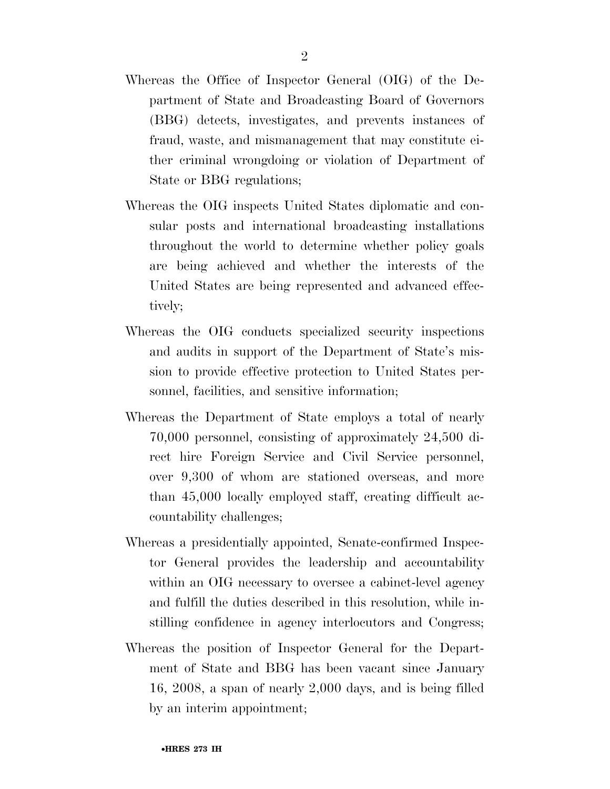- Whereas the Office of Inspector General (OIG) of the Department of State and Broadcasting Board of Governors (BBG) detects, investigates, and prevents instances of fraud, waste, and mismanagement that may constitute either criminal wrongdoing or violation of Department of State or BBG regulations;
- Whereas the OIG inspects United States diplomatic and consular posts and international broadcasting installations throughout the world to determine whether policy goals are being achieved and whether the interests of the United States are being represented and advanced effectively;
- Whereas the OIG conducts specialized security inspections and audits in support of the Department of State's mission to provide effective protection to United States personnel, facilities, and sensitive information;
- Whereas the Department of State employs a total of nearly 70,000 personnel, consisting of approximately 24,500 direct hire Foreign Service and Civil Service personnel, over 9,300 of whom are stationed overseas, and more than 45,000 locally employed staff, creating difficult accountability challenges;
- Whereas a presidentially appointed, Senate-confirmed Inspector General provides the leadership and accountability within an OIG necessary to oversee a cabinet-level agency and fulfill the duties described in this resolution, while instilling confidence in agency interlocutors and Congress;
- Whereas the position of Inspector General for the Department of State and BBG has been vacant since January 16, 2008, a span of nearly 2,000 days, and is being filled by an interim appointment;